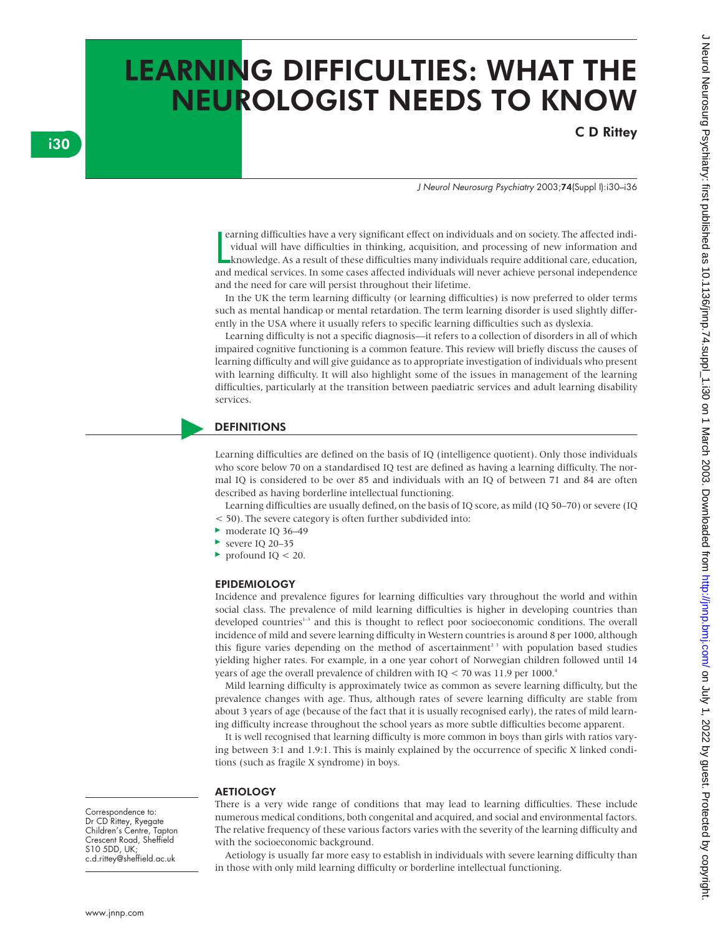# LEARNING DIFFICULTIES: WHAT THE NEUROLOGIST NEEDS TO KNOW

C D Rittey

J Neurol Neurosurg Psychiatry 2003;74(Suppl I):i30–i36

earning difficulties have a very significant effect on individuals and on society. The affected individual will have difficulties in thinking, acquisition, and processing of new information and knowledge. As a result of th earning difficulties have a very significant effect on individuals and on society. The affected individual will have difficulties in thinking, acquisition, and processing of new information and knowledge. As a result of these difficulties many individuals require additional care, education, and the need for care will persist throughout their lifetime.

In the UK the term learning difficulty (or learning difficulties) is now preferred to older terms such as mental handicap or mental retardation. The term learning disorder is used slightly differently in the USA where it usually refers to specific learning difficulties such as dyslexia.

Learning difficulty is not a specific diagnosis—it refers to a collection of disorders in all of which impaired cognitive functioning is a common feature. This review will briefly discuss the causes of learning difficulty and will give guidance as to appropriate investigation of individuals who present with learning difficulty. It will also highlight some of the issues in management of the learning difficulties, particularly at the transition between paediatric services and adult learning disability services.

# **DEFINITIONS**

Learning difficulties are defined on the basis of IQ (intelligence quotient). Only those individuals who score below 70 on a standardised IQ test are defined as having a learning difficulty. The normal IQ is considered to be over 85 and individuals with an IQ of between 71 and 84 are often described as having borderline intellectual functioning.

Learning difficulties are usually defined, on the basis of IQ score, as mild (IQ 50–70) or severe (IQ < 50). The severe category is often further subdivided into:

- moderate IQ 36-49
- severe IQ 20-35
- rofound IQ  $< 20$ .

#### EPIDEMIOLOGY

Incidence and prevalence figures for learning difficulties vary throughout the world and within social class. The prevalence of mild learning difficulties is higher in developing countries than developed countries<sup>1-3</sup> and this is thought to reflect poor socioeconomic conditions. The overall incidence of mild and severe learning difficulty in Western countries is around 8 per 1000, although this figure varies depending on the method of ascertainment<sup>23</sup> with population based studies yielding higher rates. For example, in a one year cohort of Norwegian children followed until 14 years of age the overall prevalence of children with  $IQ < 70$  was  $11.9$  per  $1000.<sup>4</sup>$ 

Mild learning difficulty is approximately twice as common as severe learning difficulty, but the prevalence changes with age. Thus, although rates of severe learning difficulty are stable from about 3 years of age (because of the fact that it is usually recognised early), the rates of mild learning difficulty increase throughout the school years as more subtle difficulties become apparent.

It is well recognised that learning difficulty is more common in boys than girls with ratios varying between 3:1 and 1.9:1. This is mainly explained by the occurrence of specific X linked conditions (such as fragile X syndrome) in boys.

#### AETIOLOGY

There is a very wide range of conditions that may lead to learning difficulties. These include numerous medical conditions, both congenital and acquired, and social and environmental factors. The relative frequency of these various factors varies with the severity of the learning difficulty and with the socioeconomic background.

Aetiology is usually far more easy to establish in individuals with severe learning difficulty than in those with only mild learning difficulty or borderline intellectual functioning.

i30\*

Correspondence to: Dr CD Rittey, Ryegate Children's Centre, Tapton Crescent Road, Sheffield S10 5DD, UK; c.d.rittey@sheffield.ac.uk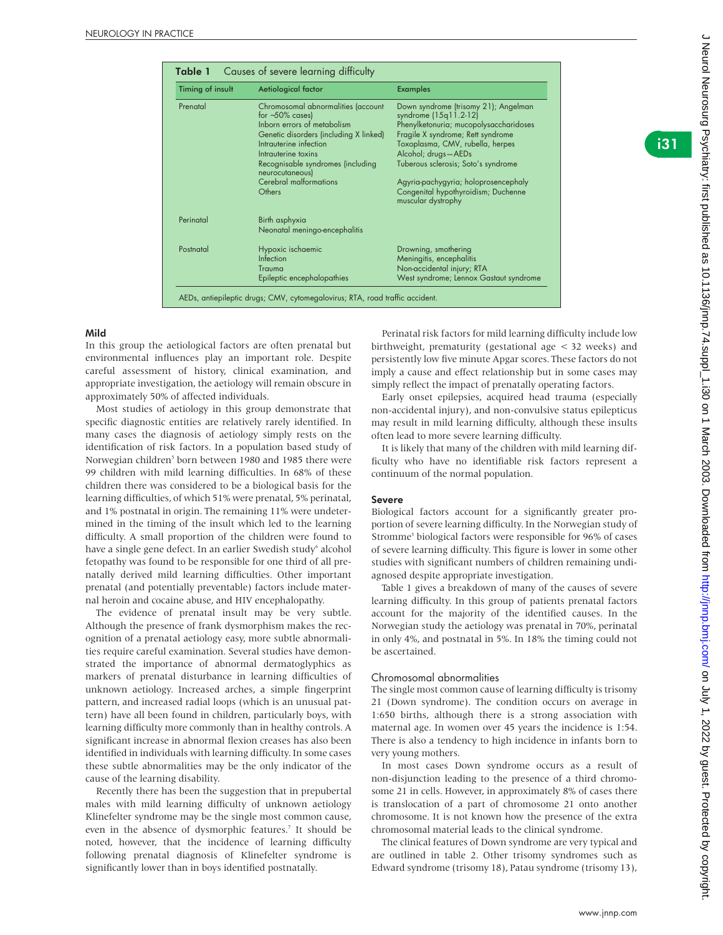| Timing of insult | Aetiological factor                                                                                                                                                                                                                        | <b>Examples</b>                                                                                                                                                                                                                                |
|------------------|--------------------------------------------------------------------------------------------------------------------------------------------------------------------------------------------------------------------------------------------|------------------------------------------------------------------------------------------------------------------------------------------------------------------------------------------------------------------------------------------------|
| Prenatal         | Chromosomal abnormalities (account<br>for $-50\%$ cases)<br>Inborn errors of metabolism<br>Genetic disorders (including X linked)<br>Intrauterine infection<br>Intrauterine toxins<br>Recognisable syndromes (including<br>neurocutaneous) | Down syndrome (trisomy 21); Angelman<br>syndrome (15q11.2-12)<br>Phenylketonuria; mucopolysaccharidoses<br>Fragile X syndrome; Rett syndrome<br>Toxoplasma, CMV, rubella, herpes<br>Alcohol; drugs-AEDs<br>Tuberous sclerosis; Soto's syndrome |
|                  | Cerebral malformations<br>Others                                                                                                                                                                                                           | Agyria-pachygyria; holoprosencephaly<br>Congenital hypothyroidism; Duchenne<br>muscular dystrophy                                                                                                                                              |
| Perinatal        | Birth asphyxia<br>Neonatal meningo-encephalitis                                                                                                                                                                                            |                                                                                                                                                                                                                                                |
| Postnatal        | Hypoxic ischaemic<br>Infection<br>Trauma<br>Epileptic encephalopathies                                                                                                                                                                     | Drowning, smothering<br>Meningitis, encephalitis<br>Non-accidental injury; RTA<br>West syndrome; Lennox Gastaut syndrome                                                                                                                       |

#### Mild

In this group the aetiological factors are often prenatal but environmental influences play an important role. Despite careful assessment of history, clinical examination, and appropriate investigation, the aetiology will remain obscure in approximately 50% of affected individuals.

Most studies of aetiology in this group demonstrate that specific diagnostic entities are relatively rarely identified. In many cases the diagnosis of aetiology simply rests on the identification of risk factors. In a population based study of Norwegian children<sup>5</sup> born between 1980 and 1985 there were 99 children with mild learning difficulties. In 68% of these children there was considered to be a biological basis for the learning difficulties, of which 51% were prenatal, 5% perinatal, and 1% postnatal in origin. The remaining 11% were undetermined in the timing of the insult which led to the learning difficulty. A small proportion of the children were found to have a single gene defect. In an earlier Swedish study<sup>6</sup> alcohol fetopathy was found to be responsible for one third of all prenatally derived mild learning difficulties. Other important prenatal (and potentially preventable) factors include maternal heroin and cocaine abuse, and HIV encephalopathy.

The evidence of prenatal insult may be very subtle. Although the presence of frank dysmorphism makes the recognition of a prenatal aetiology easy, more subtle abnormalities require careful examination. Several studies have demonstrated the importance of abnormal dermatoglyphics as markers of prenatal disturbance in learning difficulties of unknown aetiology. Increased arches, a simple fingerprint pattern, and increased radial loops (which is an unusual pattern) have all been found in children, particularly boys, with learning difficulty more commonly than in healthy controls. A significant increase in abnormal flexion creases has also been identified in individuals with learning difficulty. In some cases these subtle abnormalities may be the only indicator of the cause of the learning disability.

Recently there has been the suggestion that in prepubertal males with mild learning difficulty of unknown aetiology Klinefelter syndrome may be the single most common cause, even in the absence of dysmorphic features.<sup>7</sup> It should be noted, however, that the incidence of learning difficulty following prenatal diagnosis of Klinefelter syndrome is significantly lower than in boys identified postnatally.

Perinatal risk factors for mild learning difficulty include low birthweight, prematurity (gestational age < 32 weeks) and persistently low five minute Apgar scores. These factors do not imply a cause and effect relationship but in some cases may simply reflect the impact of prenatally operating factors.

Early onset epilepsies, acquired head trauma (especially non-accidental injury), and non-convulsive status epilepticus may result in mild learning difficulty, although these insults often lead to more severe learning difficulty.

It is likely that many of the children with mild learning difficulty who have no identifiable risk factors represent a continuum of the normal population.

#### Severe

Biological factors account for a significantly greater proportion of severe learning difficulty. In the Norwegian study of Stromme<sup>5</sup> biological factors were responsible for 96% of cases of severe learning difficulty. This figure is lower in some other studies with significant numbers of children remaining undiagnosed despite appropriate investigation.

Table 1 gives a breakdown of many of the causes of severe learning difficulty. In this group of patients prenatal factors account for the majority of the identified causes. In the Norwegian study the aetiology was prenatal in 70%, perinatal in only 4%, and postnatal in 5%. In 18% the timing could not be ascertained.

#### Chromosomal abnormalities

The single most common cause of learning difficulty is trisomy 21 (Down syndrome). The condition occurs on average in 1:650 births, although there is a strong association with maternal age. In women over 45 years the incidence is 1:54. There is also a tendency to high incidence in infants born to very young mothers.

In most cases Down syndrome occurs as a result of non-disjunction leading to the presence of a third chromosome 21 in cells. However, in approximately 8% of cases there is translocation of a part of chromosome 21 onto another chromosome. It is not known how the presence of the extra chromosomal material leads to the clinical syndrome.

The clinical features of Down syndrome are very typical and are outlined in table 2. Other trisomy syndromes such as Edward syndrome (trisomy 18), Patau syndrome (trisomy 13), i31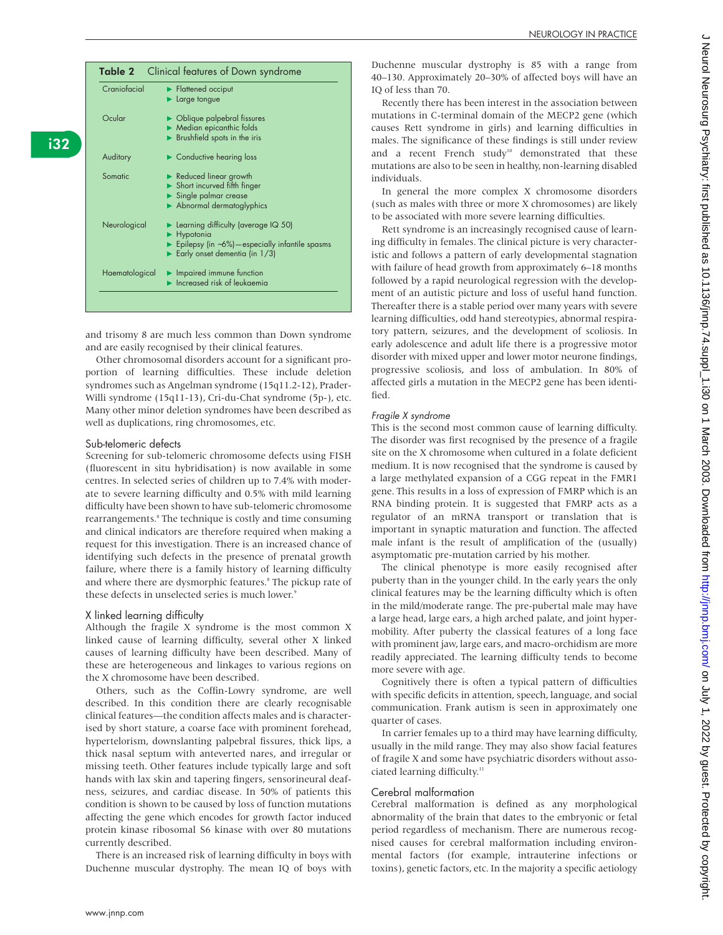|                | <b>Table 2</b> Clinical features of Down syndrome                                                                                                                                    |
|----------------|--------------------------------------------------------------------------------------------------------------------------------------------------------------------------------------|
| Craniofacial   | Flattened occiput<br>$\blacktriangleright$ Large tongue                                                                                                                              |
| Ocular         | • Oblique palpebral fissures<br>Median epicanthic folds<br>Brushfield spots in the iris                                                                                              |
| Auditory       | $\triangleright$ Conductive hearing loss                                                                                                                                             |
| Somatic        | Reduced linear growth<br>Short incurved fifth finger<br>$\triangleright$ Single palmar crease<br>Abnormal dermatoglyphics                                                            |
| Neurological   | Elearning difficulty (average IQ 50)<br>$\blacktriangleright$ Hypotonia<br>$\blacktriangleright$ Epilepsy (in ~6%) — especially infantile spasms<br>Early onset dementia (in $1/3$ ) |
| Haematological | Impaired immune function<br>Increased risk of leukaemia                                                                                                                              |
|                |                                                                                                                                                                                      |

and trisomy 8 are much less common than Down syndrome and are easily recognised by their clinical features.

Other chromosomal disorders account for a significant proportion of learning difficulties. These include deletion syndromes such as Angelman syndrome (15q11.2-12), Prader-Willi syndrome (15q11-13), Cri-du-Chat syndrome (5p-), etc. Many other minor deletion syndromes have been described as well as duplications, ring chromosomes, etc.

#### Sub-telomeric defects

i32\*

Screening for sub-telomeric chromosome defects using FISH (fluorescent in situ hybridisation) is now available in some centres. In selected series of children up to 7.4% with moderate to severe learning difficulty and 0.5% with mild learning difficulty have been shown to have sub-telomeric chromosome rearrangements.<sup>8</sup> The technique is costly and time consuming and clinical indicators are therefore required when making a request for this investigation. There is an increased chance of identifying such defects in the presence of prenatal growth failure, where there is a family history of learning difficulty and where there are dysmorphic features.<sup>8</sup> The pickup rate of these defects in unselected series is much lower.<sup>9</sup>

# X linked learning difficulty

Although the fragile X syndrome is the most common X linked cause of learning difficulty, several other X linked causes of learning difficulty have been described. Many of these are heterogeneous and linkages to various regions on the X chromosome have been described.

Others, such as the Coffin-Lowry syndrome, are well described. In this condition there are clearly recognisable clinical features—the condition affects males and is characterised by short stature, a coarse face with prominent forehead, hypertelorism, downslanting palpebral fissures, thick lips, a thick nasal septum with anteverted nares, and irregular or missing teeth. Other features include typically large and soft hands with lax skin and tapering fingers, sensorineural deafness, seizures, and cardiac disease. In 50% of patients this condition is shown to be caused by loss of function mutations affecting the gene which encodes for growth factor induced protein kinase ribosomal S6 kinase with over 80 mutations currently described.

There is an increased risk of learning difficulty in boys with Duchenne muscular dystrophy. The mean IQ of boys with

Duchenne muscular dystrophy is 85 with a range from 40–130. Approximately 20–30% of affected boys will have an IQ of less than 70.

Recently there has been interest in the association between mutations in C-terminal domain of the MECP2 gene (which causes Rett syndrome in girls) and learning difficulties in males. The significance of these findings is still under review and a recent French study<sup>10</sup> demonstrated that these mutations are also to be seen in healthy, non-learning disabled individuals.

In general the more complex X chromosome disorders (such as males with three or more X chromosomes) are likely to be associated with more severe learning difficulties.

Rett syndrome is an increasingly recognised cause of learning difficulty in females. The clinical picture is very characteristic and follows a pattern of early developmental stagnation with failure of head growth from approximately 6–18 months followed by a rapid neurological regression with the development of an autistic picture and loss of useful hand function. Thereafter there is a stable period over many years with severe learning difficulties, odd hand stereotypies, abnormal respiratory pattern, seizures, and the development of scoliosis. In early adolescence and adult life there is a progressive motor disorder with mixed upper and lower motor neurone findings, progressive scoliosis, and loss of ambulation. In 80% of affected girls a mutation in the MECP2 gene has been identified.

#### Fragile <sup>X</sup> syndrome

This is the second most common cause of learning difficulty. The disorder was first recognised by the presence of a fragile site on the X chromosome when cultured in a folate deficient medium. It is now recognised that the syndrome is caused by a large methylated expansion of a CGG repeat in the FMR1 gene. This results in a loss of expression of FMRP which is an RNA binding protein. It is suggested that FMRP acts as a regulator of an mRNA transport or translation that is important in synaptic maturation and function. The affected male infant is the result of amplification of the (usually) asymptomatic pre-mutation carried by his mother.

The clinical phenotype is more easily recognised after puberty than in the younger child. In the early years the only clinical features may be the learning difficulty which is often in the mild/moderate range. The pre-pubertal male may have a large head, large ears, a high arched palate, and joint hypermobility. After puberty the classical features of a long face with prominent jaw, large ears, and macro-orchidism are more readily appreciated. The learning difficulty tends to become more severe with age.

Cognitively there is often a typical pattern of difficulties with specific deficits in attention, speech, language, and social communication. Frank autism is seen in approximately one quarter of cases.

In carrier females up to a third may have learning difficulty, usually in the mild range. They may also show facial features of fragile X and some have psychiatric disorders without associated learning difficulty.<sup>11</sup>

#### Cerebral malformation

Cerebral malformation is defined as any morphological abnormality of the brain that dates to the embryonic or fetal period regardless of mechanism. There are numerous recognised causes for cerebral malformation including environmental factors (for example, intrauterine infections or toxins), genetic factors, etc. In the majority a specific aetiology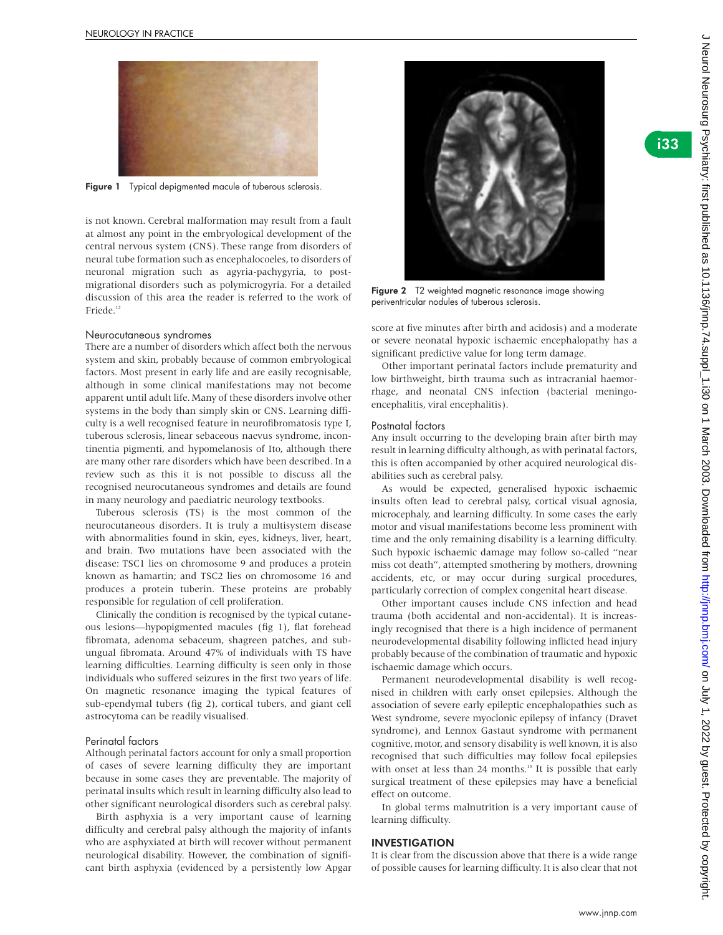

Figure 1 Typical depigmented macule of tuberous sclerosis.

is not known. Cerebral malformation may result from a fault at almost any point in the embryological development of the central nervous system (CNS). These range from disorders of neural tube formation such as encephalocoeles, to disorders of neuronal migration such as agyria-pachygyria, to postmigrational disorders such as polymicrogyria. For a detailed discussion of this area the reader is referred to the work of Friede.<sup>12</sup>

#### Neurocutaneous syndromes

There are a number of disorders which affect both the nervous system and skin, probably because of common embryological factors. Most present in early life and are easily recognisable, although in some clinical manifestations may not become apparent until adult life. Many of these disorders involve other systems in the body than simply skin or CNS. Learning difficulty is a well recognised feature in neurofibromatosis type I, tuberous sclerosis, linear sebaceous naevus syndrome, incontinentia pigmenti, and hypomelanosis of Ito, although there are many other rare disorders which have been described. In a review such as this it is not possible to discuss all the recognised neurocutaneous syndromes and details are found in many neurology and paediatric neurology textbooks.

Tuberous sclerosis (TS) is the most common of the neurocutaneous disorders. It is truly a multisystem disease with abnormalities found in skin, eyes, kidneys, liver, heart, and brain. Two mutations have been associated with the disease: TSC1 lies on chromosome 9 and produces a protein known as hamartin; and TSC2 lies on chromosome 16 and produces a protein tuberin. These proteins are probably responsible for regulation of cell proliferation.

Clinically the condition is recognised by the typical cutaneous lesions—hypopigmented macules (fig 1), flat forehead fibromata, adenoma sebaceum, shagreen patches, and subungual fibromata. Around 47% of individuals with TS have learning difficulties. Learning difficulty is seen only in those individuals who suffered seizures in the first two years of life. On magnetic resonance imaging the typical features of sub-ependymal tubers (fig 2), cortical tubers, and giant cell astrocytoma can be readily visualised.

#### Perinatal factors

Although perinatal factors account for only a small proportion of cases of severe learning difficulty they are important because in some cases they are preventable. The majority of perinatal insults which result in learning difficulty also lead to other significant neurological disorders such as cerebral palsy.

Birth asphyxia is a very important cause of learning difficulty and cerebral palsy although the majority of infants who are asphyxiated at birth will recover without permanent neurological disability. However, the combination of significant birth asphyxia (evidenced by a persistently low Apgar



Figure 2 T2 weighted magnetic resonance image showing periventricular nodules of tuberous sclerosis.

score at five minutes after birth and acidosis) and a moderate or severe neonatal hypoxic ischaemic encephalopathy has a significant predictive value for long term damage.

Other important perinatal factors include prematurity and low birthweight, birth trauma such as intracranial haemorrhage, and neonatal CNS infection (bacterial meningoencephalitis, viral encephalitis).

#### Postnatal factors

Any insult occurring to the developing brain after birth may result in learning difficulty although, as with perinatal factors, this is often accompanied by other acquired neurological disabilities such as cerebral palsy.

As would be expected, generalised hypoxic ischaemic insults often lead to cerebral palsy, cortical visual agnosia, microcephaly, and learning difficulty. In some cases the early motor and visual manifestations become less prominent with time and the only remaining disability is a learning difficulty. Such hypoxic ischaemic damage may follow so-called "near miss cot death", attempted smothering by mothers, drowning accidents, etc, or may occur during surgical procedures, particularly correction of complex congenital heart disease.

Other important causes include CNS infection and head trauma (both accidental and non-accidental). It is increasingly recognised that there is a high incidence of permanent neurodevelopmental disability following inflicted head injury probably because of the combination of traumatic and hypoxic ischaemic damage which occurs.

Permanent neurodevelopmental disability is well recognised in children with early onset epilepsies. Although the association of severe early epileptic encephalopathies such as West syndrome, severe myoclonic epilepsy of infancy (Dravet syndrome), and Lennox Gastaut syndrome with permanent cognitive, motor, and sensory disability is well known, it is also recognised that such difficulties may follow focal epilepsies with onset at less than 24 months.<sup>13</sup> It is possible that early surgical treatment of these epilepsies may have a beneficial effect on outcome.

In global terms malnutrition is a very important cause of learning difficulty.

# INVESTIGATION

It is clear from the discussion above that there is a wide range of possible causes for learning difficulty. It is also clear that not \*i33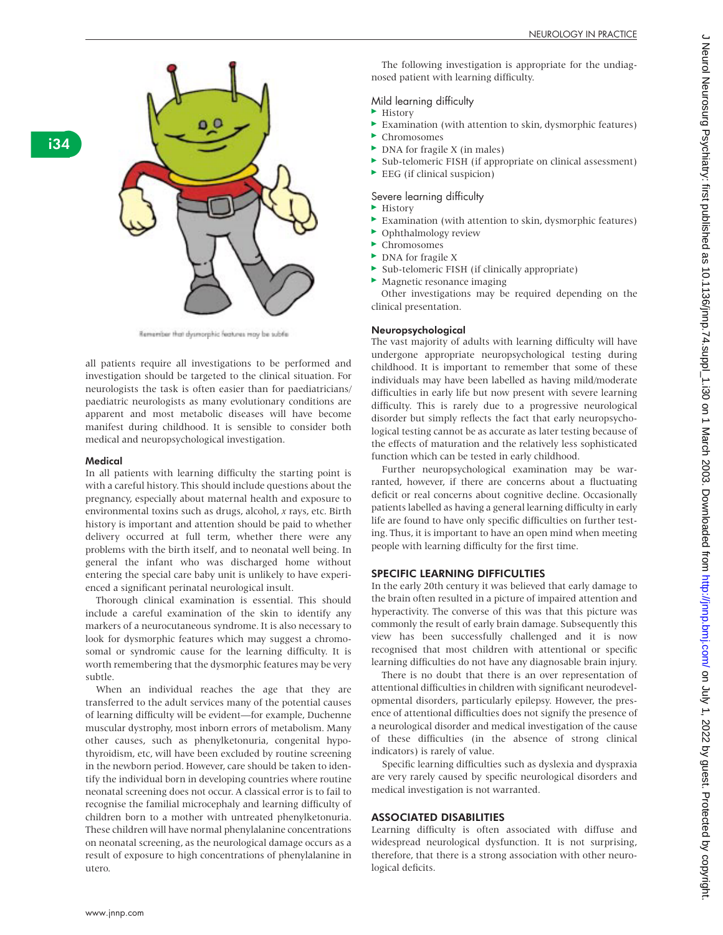

Remember that dysmorphic features may be subfiel

all patients require all investigations to be performed and investigation should be targeted to the clinical situation. For neurologists the task is often easier than for paediatricians/ paediatric neurologists as many evolutionary conditions are apparent and most metabolic diseases will have become manifest during childhood. It is sensible to consider both medical and neuropsychological investigation.

### Medical

i34\*

In all patients with learning difficulty the starting point is with a careful history. This should include questions about the pregnancy, especially about maternal health and exposure to environmental toxins such as drugs, alcohol, *x* rays, etc. Birth history is important and attention should be paid to whether delivery occurred at full term, whether there were any problems with the birth itself, and to neonatal well being. In general the infant who was discharged home without entering the special care baby unit is unlikely to have experienced a significant perinatal neurological insult.

Thorough clinical examination is essential. This should include a careful examination of the skin to identify any markers of a neurocutaneous syndrome. It is also necessary to look for dysmorphic features which may suggest a chromosomal or syndromic cause for the learning difficulty. It is worth remembering that the dysmorphic features may be very subtle.

When an individual reaches the age that they are transferred to the adult services many of the potential causes of learning difficulty will be evident—for example, Duchenne muscular dystrophy, most inborn errors of metabolism. Many other causes, such as phenylketonuria, congenital hypothyroidism, etc, will have been excluded by routine screening in the newborn period. However, care should be taken to identify the individual born in developing countries where routine neonatal screening does not occur. A classical error is to fail to recognise the familial microcephaly and learning difficulty of children born to a mother with untreated phenylketonuria. These children will have normal phenylalanine concentrations on neonatal screening, as the neurological damage occurs as a result of exposure to high concentrations of phenylalanine in utero.

The following investigation is appropriate for the undiagnosed patient with learning difficulty.

#### Mild learning difficulty

- $\blacktriangleright$  History
	- Examination (with attention to skin, dysmorphic features)
	- Chromosomes
	- $\triangleright$  DNA for fragile X (in males)
	- $\triangleright$  Sub-telomeric FISH (if appropriate on clinical assessment)  $\blacktriangleright$  EEG (if clinical suspicion)

# Severe learning difficulty

- $\blacktriangleright$  History
- $\blacktriangleright$  Examination (with attention to skin, dysmorphic features)
- Ophthalmology review
- $\blacktriangleright$  Chromosomes
- $\triangleright$  DNA for fragile X
- $\blacktriangleright$  Sub-telomeric FISH (if clinically appropriate)
- $\blacktriangleright$  Magnetic resonance imaging

Other investigations may be required depending on the clinical presentation.

#### Neuropsychological

The vast majority of adults with learning difficulty will have undergone appropriate neuropsychological testing during childhood. It is important to remember that some of these individuals may have been labelled as having mild/moderate difficulties in early life but now present with severe learning difficulty. This is rarely due to a progressive neurological disorder but simply reflects the fact that early neuropsychological testing cannot be as accurate as later testing because of the effects of maturation and the relatively less sophisticated function which can be tested in early childhood.

Further neuropsychological examination may be warranted, however, if there are concerns about a fluctuating deficit or real concerns about cognitive decline. Occasionally patients labelled as having a general learning difficulty in early life are found to have only specific difficulties on further testing. Thus, it is important to have an open mind when meeting people with learning difficulty for the first time.

#### SPECIFIC LEARNING DIFFICULTIES

In the early 20th century it was believed that early damage to the brain often resulted in a picture of impaired attention and hyperactivity. The converse of this was that this picture was commonly the result of early brain damage. Subsequently this view has been successfully challenged and it is now recognised that most children with attentional or specific learning difficulties do not have any diagnosable brain injury.

There is no doubt that there is an over representation of attentional difficulties in children with significant neurodevelopmental disorders, particularly epilepsy. However, the presence of attentional difficulties does not signify the presence of a neurological disorder and medical investigation of the cause of these difficulties (in the absence of strong clinical indicators) is rarely of value.

Specific learning difficulties such as dyslexia and dyspraxia are very rarely caused by specific neurological disorders and medical investigation is not warranted.

### ASSOCIATED DISABILITIES

Learning difficulty is often associated with diffuse and widespread neurological dysfunction. It is not surprising, therefore, that there is a strong association with other neurological deficits.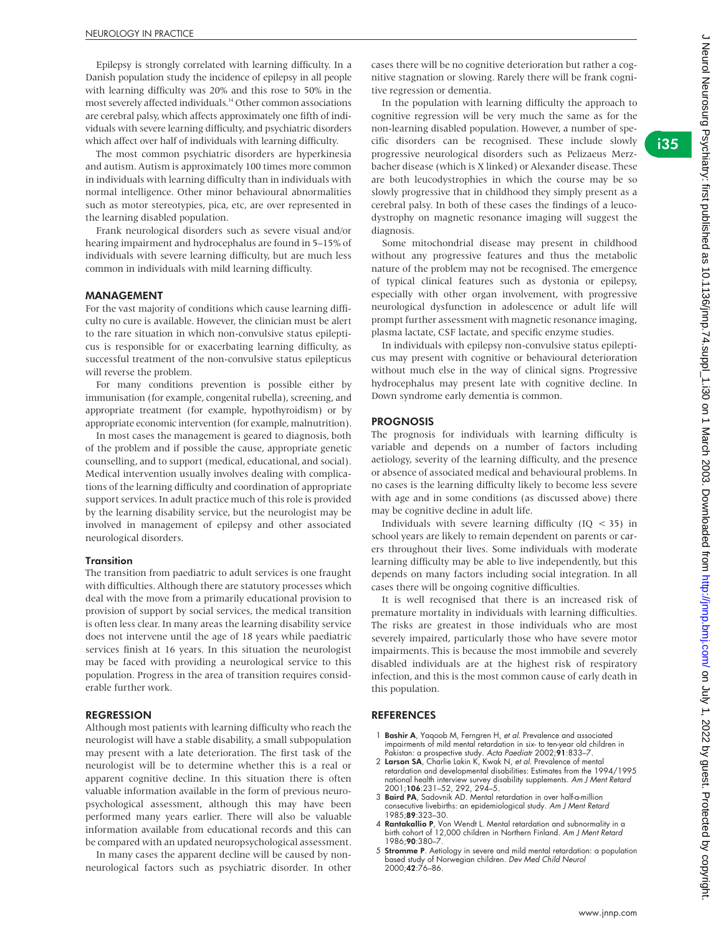i35

Epilepsy is strongly correlated with learning difficulty. In a Danish population study the incidence of epilepsy in all people with learning difficulty was 20% and this rose to 50% in the most severely affected individuals.<sup>14</sup> Other common associations are cerebral palsy, which affects approximately one fifth of individuals with severe learning difficulty, and psychiatric disorders which affect over half of individuals with learning difficulty.

The most common psychiatric disorders are hyperkinesia and autism. Autism is approximately 100 times more common in individuals with learning difficulty than in individuals with normal intelligence. Other minor behavioural abnormalities such as motor stereotypies, pica, etc, are over represented in the learning disabled population.

Frank neurological disorders such as severe visual and/or hearing impairment and hydrocephalus are found in 5–15% of individuals with severe learning difficulty, but are much less common in individuals with mild learning difficulty.

#### MANAGEMENT

For the vast majority of conditions which cause learning difficulty no cure is available. However, the clinician must be alert to the rare situation in which non-convulsive status epilepticus is responsible for or exacerbating learning difficulty, as successful treatment of the non-convulsive status epilepticus will reverse the problem.

For many conditions prevention is possible either by immunisation (for example, congenital rubella), screening, and appropriate treatment (for example, hypothyroidism) or by appropriate economic intervention (for example, malnutrition).

In most cases the management is geared to diagnosis, both of the problem and if possible the cause, appropriate genetic counselling, and to support (medical, educational, and social). Medical intervention usually involves dealing with complications of the learning difficulty and coordination of appropriate support services. In adult practice much of this role is provided by the learning disability service, but the neurologist may be involved in management of epilepsy and other associated neurological disorders.

#### **Transition**

The transition from paediatric to adult services is one fraught with difficulties. Although there are statutory processes which deal with the move from a primarily educational provision to provision of support by social services, the medical transition is often less clear. In many areas the learning disability service does not intervene until the age of 18 years while paediatric services finish at 16 years. In this situation the neurologist may be faced with providing a neurological service to this population. Progress in the area of transition requires considerable further work.

# **REGRESSION**

Although most patients with learning difficulty who reach the neurologist will have a stable disability, a small subpopulation may present with a late deterioration. The first task of the neurologist will be to determine whether this is a real or apparent cognitive decline. In this situation there is often valuable information available in the form of previous neuropsychological assessment, although this may have been performed many years earlier. There will also be valuable information available from educational records and this can be compared with an updated neuropsychological assessment.

In many cases the apparent decline will be caused by nonneurological factors such as psychiatric disorder. In other cases there will be no cognitive deterioration but rather a cognitive stagnation or slowing. Rarely there will be frank cognitive regression or dementia.

In the population with learning difficulty the approach to cognitive regression will be very much the same as for the non-learning disabled population. However, a number of specific disorders can be recognised. These include slowly progressive neurological disorders such as Pelizaeus Merzbacher disease (which is X linked) or Alexander disease. These are both leucodystrophies in which the course may be so slowly progressive that in childhood they simply present as a cerebral palsy. In both of these cases the findings of a leucodystrophy on magnetic resonance imaging will suggest the diagnosis.

Some mitochondrial disease may present in childhood without any progressive features and thus the metabolic nature of the problem may not be recognised. The emergence of typical clinical features such as dystonia or epilepsy, especially with other organ involvement, with progressive neurological dysfunction in adolescence or adult life will prompt further assessment with magnetic resonance imaging, plasma lactate, CSF lactate, and specific enzyme studies.

In individuals with epilepsy non-convulsive status epilepticus may present with cognitive or behavioural deterioration without much else in the way of clinical signs. Progressive hydrocephalus may present late with cognitive decline. In Down syndrome early dementia is common.

# **PROGNOSIS**

The prognosis for individuals with learning difficulty is variable and depends on a number of factors including aetiology, severity of the learning difficulty, and the presence or absence of associated medical and behavioural problems. In no cases is the learning difficulty likely to become less severe with age and in some conditions (as discussed above) there may be cognitive decline in adult life.

Individuals with severe learning difficulty  $(IQ < 35)$  in school years are likely to remain dependent on parents or carers throughout their lives. Some individuals with moderate learning difficulty may be able to live independently, but this depends on many factors including social integration. In all cases there will be ongoing cognitive difficulties.

It is well recognised that there is an increased risk of premature mortality in individuals with learning difficulties. The risks are greatest in those individuals who are most severely impaired, particularly those who have severe motor impairments. This is because the most immobile and severely disabled individuals are at the highest risk of respiratory infection, and this is the most common cause of early death in this population.

#### REFERENCES

- 1 Bashir A, Yaqoob M, Ferngren H, et al. Prevalence and associated impairments of mild mental retardation in six- to ten-year old children in Pakistan: a prospective study. Acta Paediatr 2002;91:833-7
- 2 Larson SA, Charlie Lakin K, Kwak N, et al. Prevalence of mental retardation and developmental disabilities: Estimates from the 1994/1995 national health interview survey disability supplements. *Am J Ment Retard*<br>2001;**106**:231–52, 292, 294–5.
- 3 Baird PA, Sadovnik AD. Mental retardation in over half-a-million consecutive livebirths: an epidemiological study. Am J Ment Retard 1985;89:323–30.
- 4 Rantakallio P, Von Wendt L. Mental retardation and subnormality in a birth cohort of 12,000 children in Northern Finland. Am J Ment Retard 1986;90:380–7.
- 5 Stromme P. Aetiology in severe and mild mental retardation: a population based study of Norwegian children. Dev Med Child Neurol 2000;42:76–86.